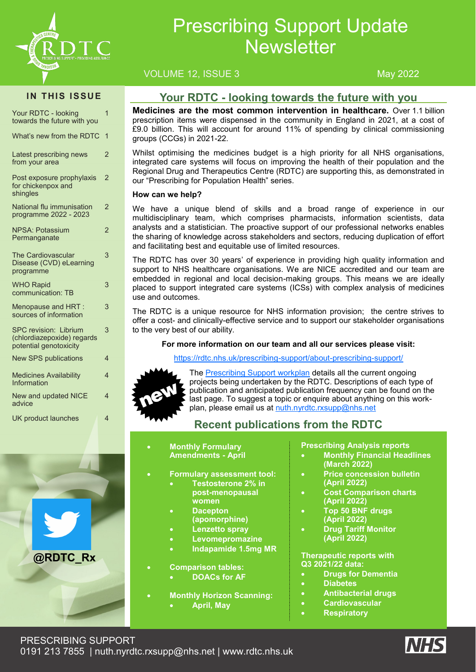

# Prescribing Support Update **Newsletter**

### VOLUME 12, ISSUE 3 May 2022

#### **IN THIS ISSUE**

| Your RDTC - looking<br>towards the future with you                                   | 1              |
|--------------------------------------------------------------------------------------|----------------|
| What's new from the RDTC                                                             | $\overline{1}$ |
| Latest prescribing news<br>from your area                                            | 2              |
| Post exposure prophylaxis<br>for chickenpox and<br>shingles                          | $\overline{2}$ |
| National flu immunisation<br>programme 2022 - 2023                                   | $\overline{2}$ |
| <b>NPSA: Potassium</b><br>Permanganate                                               | $\overline{2}$ |
| <b>The Cardiovascular</b><br>Disease (CVD) eLearning<br>programme                    | 3              |
| <b>WHO Rapid</b><br>communication: TB                                                | 3              |
| Menopause and HRT :<br>sources of information                                        | 3              |
| <b>SPC revision: Librium</b><br>(chlordiazepoxide) regards<br>potential genotoxicity | 3              |
| <b>New SPS publications</b>                                                          | 4              |
| <b>Medicines Availability</b><br>Information                                         | 4              |
| <b>New and updated NICE</b><br>advice                                                | $\overline{4}$ |
| <b>UK product launches</b>                                                           | 4              |



### **Your RDTC - looking towards the future with you**

**Medicines are the most common intervention in healthcare.** Over 1.1 billion prescription items were dispensed in the community in England in 2021, at a cost of £9.0 billion. This will account for around 11% of spending by clinical commissioning groups (CCGs) in 2021-22.

Whilst optimising the medicines budget is a high priority for all NHS organisations, integrated care systems will focus on improving the health of their population and the Regional Drug and Therapeutics Centre (RDTC) are supporting this, as demonstrated in our "Prescribing for Population Health" series.

#### **How can we help?**

We have a unique blend of skills and a broad range of experience in our multidisciplinary team, which comprises pharmacists, information scientists, data analysts and a statistician. The proactive support of our professional networks enables the sharing of knowledge across stakeholders and sectors, reducing duplication of effort and facilitating best and equitable use of limited resources.

The RDTC has over 30 years' of experience in providing high quality information and support to NHS healthcare organisations. We are NICE accredited and our team are embedded in regional and local decision-making groups. This means we are ideally placed to support integrated care systems (ICSs) with complex analysis of medicines use and outcomes.

The RDTC is a unique resource for NHS information provision; the centre strives to offer a cost- and clinically-effective service and to support our stakeholder organisations to the very best of our ability.

#### **For more information on our team and all our services please visit:**

#### [https://rdtc.nhs.uk/prescribing](https://rdtc.nhs.uk/prescribing-support/about-prescribing-support/)-support/about-prescribing-support/



The [Prescribing Support workplan](https://rdtc.nhs.uk/news/prescribing-support-workplan/) details all the current ongoing projects being undertaken by the RDTC. Descriptions of each type of publication and anticipated publication frequency can be found on the last page. To suggest a topic or enquire about anything on this workplan, please email us at [nuth.nyrdtc.rxsupp@nhs.net](mailto:nuth.nyrdtc.rxsupp@nhs.net)

# **Recent publications from the RDTC**

- **Monthly Formulary Amendments - April**
	- **Formulary assessment tool:**
- **Testosterone 2% in**
- **post-menopausal** 
	- **women** • **Dacepton**
	- **(apomorphine)**
	- **Lenzetto spray**
	- **Levomepromazine**
	- **Indapamide 1.5mg MR**

#### • **Comparison tables:**

- **DOACs for AF**
- **Monthly Horizon Scanning:**  • **April, May**

#### **Prescribing Analysis reports**

- **Monthly Financial Headlines (March 2022)**
- **Price concession bulletin (April 2022)**
- **Cost Comparison charts (April 2022)**
- **Top 50 BNF drugs (April 2022)**
- **Drug Tariff Monitor (April 2022)**

**Therapeutic reports with Q3 2021/22 data:**

- **Drugs for Dementia**
- **Diabetes**
- **Antibacterial drugs**
	- **Cardiovascular**
	- **Respiratory**

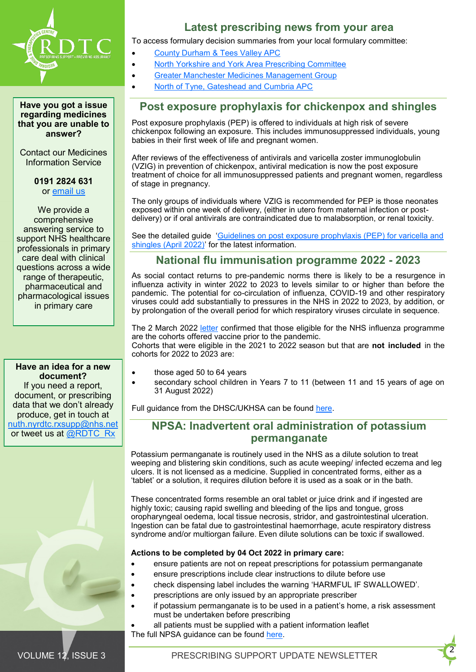

**Have you got a issue regarding medicines that you are unable to answer?** 

Contact our Medicines Information Service

> **0191 2824 631** or [email us](mailto:nuth.rdtc.mi@nhs.net)

We provide a comprehensive answering service to support NHS healthcare professionals in primary care deal with clinical questions across a wide range of therapeutic, pharmaceutical and pharmacological issues in primary care

**Have an idea for a new document?**  If you need a report, document, or prescribing data that we don't already produce, get in touch at [nuth.nyrdtc.rxsupp@nhs.net](mailto:nuth.nyrdtc.rxsupp@nhs.net) or tweet us at [@RDTC\\_Rx](https://twitter.com/RDTC_Rx/nuth-fnas01/home34/Departmental%20Home%20Drives/U/uhegwue/My%20Documents/Completed%20newsletters)

### **Latest prescribing news from your area**

To access formulary decision summaries from your local formulary committee:

- [County Durham & Tees Valley APC](https://medicines.necsu.nhs.uk/committees/county-durham-tees-valley-apc/)
	- [North Yorkshire and York Area Prescribing Committee](https://northyorkshireccg.nhs.uk/clinical-portal/medicines-and-prescribing/north-yorkshire-and-york-area-prescribing-committee/)
	- [Greater Manchester Medicines Management Group](https://gmmmg.nhs.uk/meetings/decision-summaries/)
- [North of Tyne, Gateshead and Cumbria APC](http://www.northoftyneapc.nhs.uk/latest-descisions/)

### **Post exposure prophylaxis for chickenpox and shingles**

Post exposure prophylaxis (PEP) is offered to individuals at high risk of severe chickenpox following an exposure. This includes immunosuppressed individuals, young babies in their first week of life and pregnant women.

After reviews of the effectiveness of antivirals and varicella zoster immunoglobulin (VZIG) in prevention of chickenpox, antiviral medication is now the post exposure treatment of choice for all immunosuppressed patients and pregnant women, regardless of stage in pregnancy.

The only groups of individuals where VZIG is recommended for PEP is those neonates exposed within one week of delivery, (either in utero from maternal infection or postdelivery) or if oral antivirals are contraindicated due to malabsorption, or renal toxicity.

See the detailed guide 'Guidelines on post exposure prophylaxis (PEP) for varicella and [shingles \(April 2022\)](https://assets.publishing.service.gov.uk/government/uploads/system/uploads/attachment_data/file/1073013/UKHSA_guidelines_on_VZ_post_exposure_prophylaxis.pdf)' for the latest information.

### **National flu immunisation programme 2022 - 2023**

As social contact returns to pre-pandemic norms there is likely to be a resurgence in influenza activity in winter 2022 to 2023 to levels similar to or higher than before the pandemic. The potential for co-circulation of influenza, COVID-19 and other respiratory viruses could add substantially to pressures in the NHS in 2022 to 2023, by addition, or by prolongation of the overall period for which respiratory viruses circulate in sequence.

The 2 March 2022 [letter](https://www.england.nhs.uk/publication/annual-seasonal-flu-vaccination-programme-and-reimbursement-guidance/) confirmed that those eligible for the NHS influenza programme are the cohorts offered vaccine prior to the pandemic.

Cohorts that were eligible in the 2021 to 2022 season but that are **not included** in the cohorts for 2022 to 2023 are:

- those aged 50 to 64 years
- secondary school children in Years 7 to 11 (between 11 and 15 years of age on 31 August 2022)

Full guidance from the DHSC/UKHSA can be found [here.](https://www.gov.uk/government/publications/national-flu-immunisation-programme-plan/national-flu-immunisation-programme-2022-to-2023-letter)

### **NPSA: Inadvertent oral administration of potassium permanganate**

Potassium permanganate is routinely used in the NHS as a dilute solution to treat weeping and blistering skin conditions, such as acute weeping/ infected eczema and leg ulcers. It is not licensed as a medicine. Supplied in concentrated forms, either as a 'tablet' or a solution, it requires dilution before it is used as a soak or in the bath.

These concentrated forms resemble an oral tablet or juice drink and if ingested are highly toxic; causing rapid swelling and bleeding of the lips and tongue, gross oropharyngeal oedema, local tissue necrosis, stridor, and gastrointestinal ulceration. Ingestion can be fatal due to gastrointestinal haemorrhage, acute respiratory distress syndrome and/or multiorgan failure. Even dilute solutions can be toxic if swallowed.

#### **Actions to be completed by 04 Oct 2022 in primary care:**

- ensure patients are not on repeat prescriptions for potassium permanganate
- ensure prescriptions include clear instructions to dilute before use
- check dispensing label includes the warning 'HARMFUL IF SWALLOWED'.
- prescriptions are only issued by an appropriate prescriber
- if potassium permanganate is to be used in a patient's home, a risk assessment must be undertaken before prescribing
- all patients must be supplied with a patient information leaflet The full NPSA guidance can be found [here.](https://www.cas.mhra.gov.uk/ViewandAcknowledgment/ViewAlert.aspx?AlertID=103202)

<sup>2</sup>VOLUME 12, ISSUE 3 PRESCRIBING SUPPORT UPDATE NEWSLETTER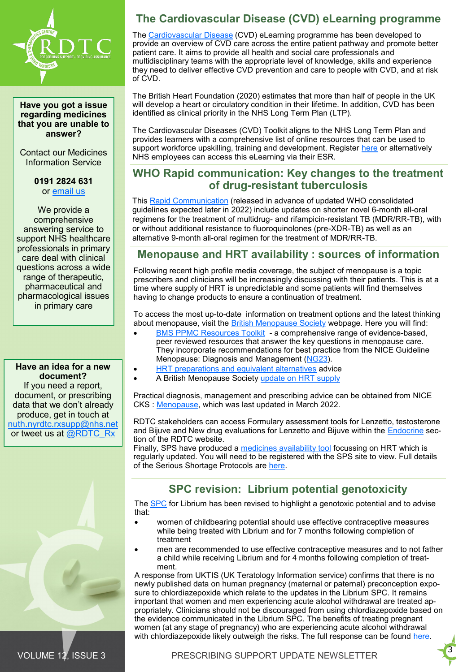

**Have you got a issue regarding medicines that you are unable to answer?** 

Contact our Medicines Information Service

> **0191 2824 631** or [email us](mailto:nuth.rdtc.mi@nhs.net)

We provide a comprehensive answering service to support NHS healthcare professionals in primary care deal with clinical questions across a wide range of therapeutic, pharmaceutical and pharmacological issues in primary care

**Have an idea for a new document?**  If you need a report, document, or prescribing data that we don't already produce, get in touch at [nuth.nyrdtc.rxsupp@nhs.net](mailto:nuth.nyrdtc.rxsupp@nhs.net) or tweet us at [@RDTC\\_Rx](https://twitter.com/RDTC_Rx/nuth-fnas01/home34/Departmental%20Home%20Drives/U/uhegwue/My%20Documents/Completed%20newsletters)



# **The Cardiovascular Disease (CVD) eLearning programme**

The [Cardiovascular Disease](https://www.e-lfh.org.uk/programmes/cardiovascular-disease/) (CVD) eLearning programme has been developed to provide an overview of CVD care across the entire patient pathway and promote better patient care. It aims to provide all health and social care professionals and multidisciplinary teams with the appropriate level of knowledge, skills and experience they need to deliver effective CVD prevention and care to people with CVD, and at risk of CVD.

The British Heart Foundation (2020) estimates that more than half of people in the UK will develop a heart or circulatory condition in their lifetime. In addition, CVD has been identified as clinical priority in the NHS Long Term Plan (LTP).

The Cardiovascular Diseases (CVD) Toolkit aligns to the NHS Long Term Plan and provides learners with a comprehensive list of online resources that can be used to support workforce upskilling, training and development. Register [here](https://portal.e-lfh.org.uk/Register) or alternatively NHS employees can access this eLearning via their ESR.

### **WHO Rapid communication: Key changes to the treatment of drug-resistant tuberculosis**

This [Rapid Communication](https://www.who.int/publications/i/item/WHO-UCN-TB-2022-2) (released in advance of updated WHO consolidated guidelines expected later in 2022) include updates on shorter novel 6-month all-oral regimens for the treatment of multidrug- and rifampicin-resistant TB (MDR/RR-TB), with or without additional resistance to fluoroquinolones (pre-XDR-TB) as well as an alternative 9-month all-oral regimen for the treatment of MDR/RR-TB.

### **Menopause and HRT availability : sources of information**

Following recent high profile media coverage, the subject of menopause is a topic prescribers and clinicians will be increasingly discussing with their patients. This is at a time where supply of HRT is unpredictable and some patients will find themselves having to change products to ensure a continuation of treatment.

To access the most up-to-date information on treatment options and the latest thinking about menopause, visit the [British Menopause Society](https://thebms.org.uk/) webpage. Here you will find:

- **BMS PPMC Resources Toolkit** a comprehensive range of evidence-based, peer reviewed resources that answer the key questions in menopause care. They incorporate recommendations for best practice from the NICE Guideline Menopause: Diagnosis and Management ([NG23\)](https://www.nice.org.uk/guidance/ng23).
- **HRT** preparations and equivalent alternatives advice
- A British Menopause Society [update on HRT supply](https://thebms.org.uk/news/british-menopause-society-update-on-hrt-supply/)

Practical diagnosis, management and prescribing advice can be obtained from NICE CKS : [Menopause,](https://cks.nice.org.uk/topics/menopause/) which was last updated in March 2022.

RDTC stakeholders can access Formulary assessment tools for Lenzetto, testosterone and Bijuve and New drug evaluations for Lenzetto and Bijuve within the **[Endocrine](https://rdtc.nhs.uk/prescribing-analysis-report/endocrine/)** section of the RDTC website.

Finally, SPS have produced a [medicines availability tool](https://www.sps.nhs.uk/articles/prescribing-available-hrt-products/) focussing on HRT which is regularly updated. You will need to be registered with the SPS site to view. Full details of the Serious Shortage Protocols are [here.](https://www.nhsbsa.nhs.uk/pharmacies-gp-practices-and-appliance-contractors/serious-shortage-protocols-ssps)

# **SPC revision: Librium potential genotoxicity**

The [SPC](https://www.medicines.org.uk/emc/product/1729/smpc) for Librium has been revised to highlight a genotoxic potential and to advise that:

- women of childbearing potential should use effective contraceptive measures while being treated with Librium and for 7 months following completion of treatment
- men are recommended to use effective contraceptive measures and to not father a child while receiving Librium and for 4 months following completion of treatment.

A response from UKTIS (UK Teratology Information service) confirms that there is no newly published data on human pregnancy (maternal or paternal) preconception exposure to chlordiazepoxide which relate to the updates in the Librium SPC. It remains important that women and men experiencing acute alcohol withdrawal are treated appropriately. Clinicians should not be discouraged from using chlordiazepoxide based on the evidence communicated in the Librium SPC. The benefits of treating pregnant women (at any stage of pregnancy) who are experiencing acute alcohol withdrawal with chlordiazepoxide likely outweigh the risks. The full response can be found [here.](https://www.medicinesinpregnancy.org/bumps/monographs/Librium-SPC-Updates-Opinion-Statement/)

 $\blacksquare$ 3